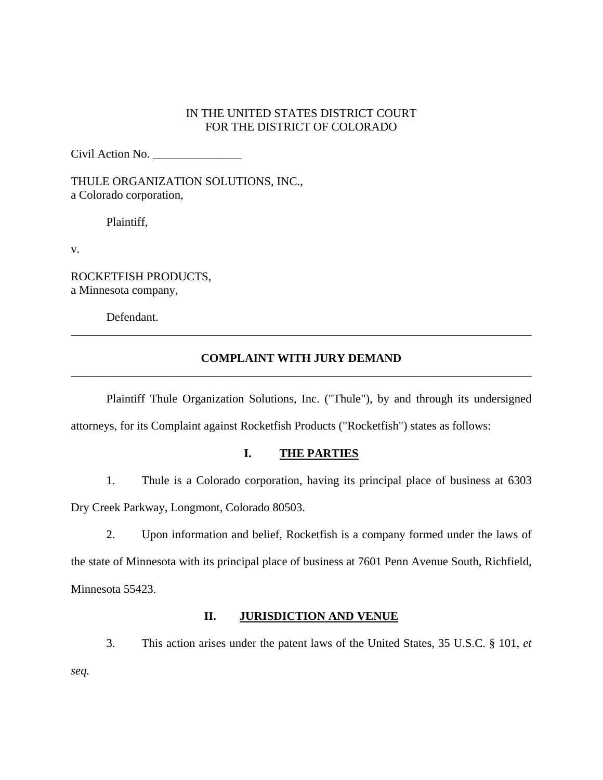## IN THE UNITED STATES DISTRICT COURT FOR THE DISTRICT OF COLORADO

Civil Action No. \_\_\_\_\_\_\_\_\_\_\_\_\_\_\_

THULE ORGANIZATION SOLUTIONS, INC., a Colorado corporation,

Plaintiff,

v.

ROCKETFISH PRODUCTS, a Minnesota company,

Defendant.

# **COMPLAINT WITH JURY DEMAND** \_\_\_\_\_\_\_\_\_\_\_\_\_\_\_\_\_\_\_\_\_\_\_\_\_\_\_\_\_\_\_\_\_\_\_\_\_\_\_\_\_\_\_\_\_\_\_\_\_\_\_\_\_\_\_\_\_\_\_\_\_\_\_\_\_\_\_\_\_\_\_\_\_\_\_\_\_\_

\_\_\_\_\_\_\_\_\_\_\_\_\_\_\_\_\_\_\_\_\_\_\_\_\_\_\_\_\_\_\_\_\_\_\_\_\_\_\_\_\_\_\_\_\_\_\_\_\_\_\_\_\_\_\_\_\_\_\_\_\_\_\_\_\_\_\_\_\_\_\_\_\_\_\_\_\_\_

 Plaintiff Thule Organization Solutions, Inc. ("Thule"), by and through its undersigned attorneys, for its Complaint against Rocketfish Products ("Rocketfish") states as follows:

## **I. THE PARTIES**

1. Thule is a Colorado corporation, having its principal place of business at 6303

Dry Creek Parkway, Longmont, Colorado 80503.

2. Upon information and belief, Rocketfish is a company formed under the laws of the state of Minnesota with its principal place of business at 7601 Penn Avenue South, Richfield, Minnesota 55423.

#### **II. JURISDICTION AND VENUE**

3. This action arises under the patent laws of the United States, 35 U.S.C. § 101, *et seq.*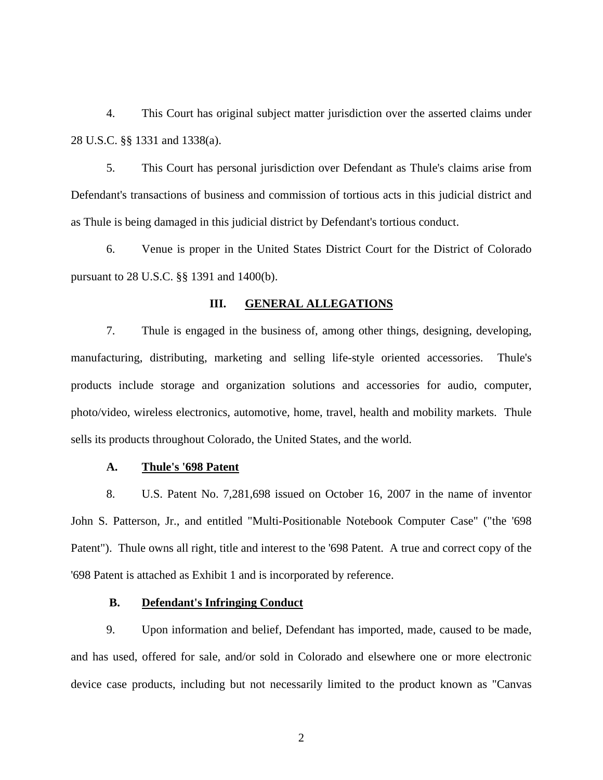4. This Court has original subject matter jurisdiction over the asserted claims under 28 U.S.C. §§ 1331 and 1338(a).

5. This Court has personal jurisdiction over Defendant as Thule's claims arise from Defendant's transactions of business and commission of tortious acts in this judicial district and as Thule is being damaged in this judicial district by Defendant's tortious conduct.

6. Venue is proper in the United States District Court for the District of Colorado pursuant to 28 U.S.C. §§ 1391 and 1400(b).

#### **III. GENERAL ALLEGATIONS**

7. Thule is engaged in the business of, among other things, designing, developing, manufacturing, distributing, marketing and selling life-style oriented accessories. Thule's products include storage and organization solutions and accessories for audio, computer, photo/video, wireless electronics, automotive, home, travel, health and mobility markets. Thule sells its products throughout Colorado, the United States, and the world.

#### **A. Thule's '698 Patent**

8. U.S. Patent No. 7,281,698 issued on October 16, 2007 in the name of inventor John S. Patterson, Jr., and entitled "Multi-Positionable Notebook Computer Case" ("the '698 Patent"). Thule owns all right, title and interest to the '698 Patent. A true and correct copy of the '698 Patent is attached as Exhibit 1 and is incorporated by reference.

### **B. Defendant's Infringing Conduct**

9. Upon information and belief, Defendant has imported, made, caused to be made, and has used, offered for sale, and/or sold in Colorado and elsewhere one or more electronic device case products, including but not necessarily limited to the product known as "Canvas

2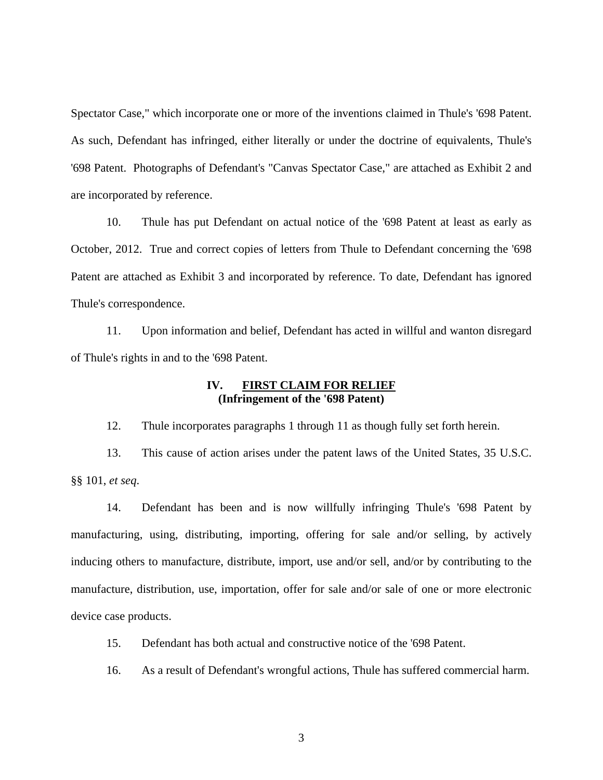Spectator Case," which incorporate one or more of the inventions claimed in Thule's '698 Patent. As such, Defendant has infringed, either literally or under the doctrine of equivalents, Thule's '698 Patent. Photographs of Defendant's "Canvas Spectator Case," are attached as Exhibit 2 and are incorporated by reference.

10. Thule has put Defendant on actual notice of the '698 Patent at least as early as October, 2012. True and correct copies of letters from Thule to Defendant concerning the '698 Patent are attached as Exhibit 3 and incorporated by reference. To date, Defendant has ignored Thule's correspondence.

11. Upon information and belief, Defendant has acted in willful and wanton disregard of Thule's rights in and to the '698 Patent.

### **IV. FIRST CLAIM FOR RELIEF (Infringement of the '698 Patent)**

12. Thule incorporates paragraphs 1 through 11 as though fully set forth herein.

13. This cause of action arises under the patent laws of the United States, 35 U.S.C. §§ 101, *et seq*.

14. Defendant has been and is now willfully infringing Thule's '698 Patent by manufacturing, using, distributing, importing, offering for sale and/or selling, by actively inducing others to manufacture, distribute, import, use and/or sell, and/or by contributing to the manufacture, distribution, use, importation, offer for sale and/or sale of one or more electronic device case products.

15. Defendant has both actual and constructive notice of the '698 Patent.

16. As a result of Defendant's wrongful actions, Thule has suffered commercial harm.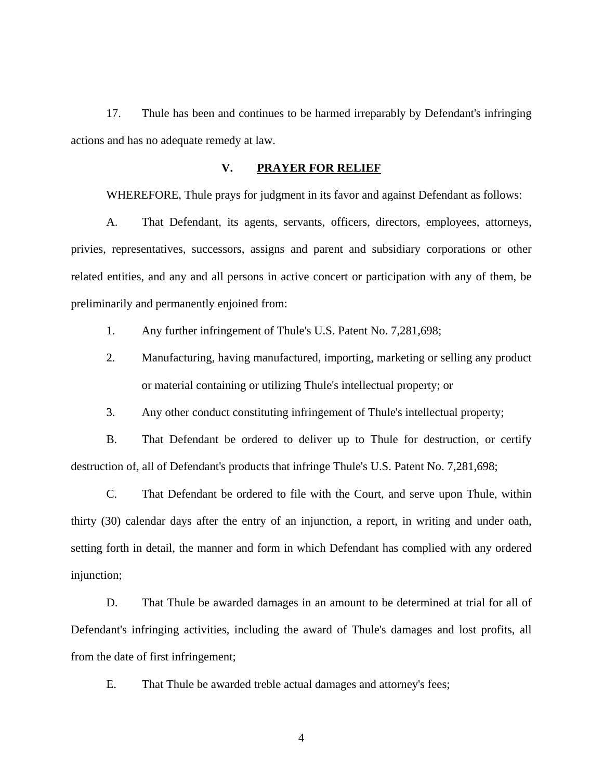17. Thule has been and continues to be harmed irreparably by Defendant's infringing actions and has no adequate remedy at law.

#### **V. PRAYER FOR RELIEF**

WHEREFORE, Thule prays for judgment in its favor and against Defendant as follows:

 A. That Defendant, its agents, servants, officers, directors, employees, attorneys, privies, representatives, successors, assigns and parent and subsidiary corporations or other related entities, and any and all persons in active concert or participation with any of them, be preliminarily and permanently enjoined from:

1. Any further infringement of Thule's U.S. Patent No. 7,281,698;

2. Manufacturing, having manufactured, importing, marketing or selling any product or material containing or utilizing Thule's intellectual property; or

3. Any other conduct constituting infringement of Thule's intellectual property;

 B. That Defendant be ordered to deliver up to Thule for destruction, or certify destruction of, all of Defendant's products that infringe Thule's U.S. Patent No. 7,281,698;

 C. That Defendant be ordered to file with the Court, and serve upon Thule, within thirty (30) calendar days after the entry of an injunction, a report, in writing and under oath, setting forth in detail, the manner and form in which Defendant has complied with any ordered injunction;

 D. That Thule be awarded damages in an amount to be determined at trial for all of Defendant's infringing activities, including the award of Thule's damages and lost profits, all from the date of first infringement;

E. That Thule be awarded treble actual damages and attorney's fees;

4